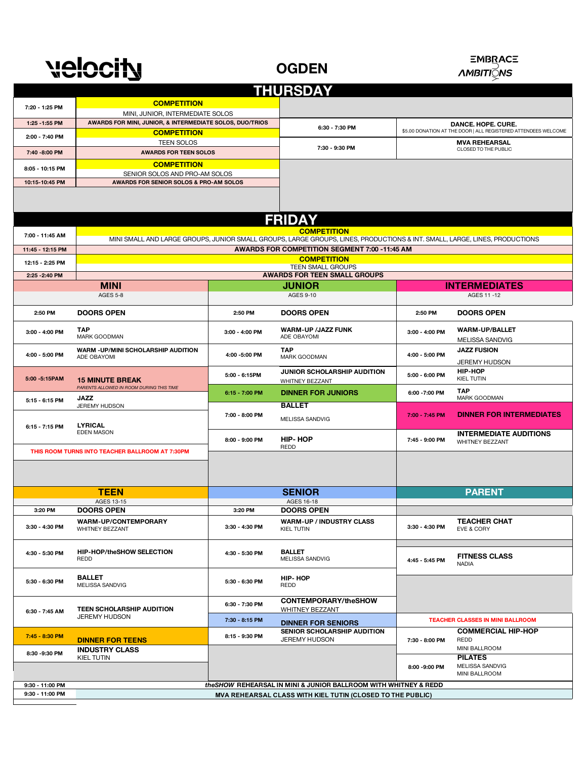# velocity

## **OGDEN**

#### **EMBRACE** *∧MBITI*ଠୁNS

| <b>THURSDAY</b>                                                                      |                                                                                                                            |                |                                                       |                                                                |                                         |  |  |  |  |
|--------------------------------------------------------------------------------------|----------------------------------------------------------------------------------------------------------------------------|----------------|-------------------------------------------------------|----------------------------------------------------------------|-----------------------------------------|--|--|--|--|
|                                                                                      | <b>COMPETITION</b>                                                                                                         |                |                                                       |                                                                |                                         |  |  |  |  |
| 7:20 - 1:25 PM                                                                       | MINI, JUNIOR, INTERMEDIATE SOLOS                                                                                           |                |                                                       |                                                                |                                         |  |  |  |  |
| 1:25 - 1:55 PM                                                                       | AWARDS FOR MINI, JUNIOR, & INTERMEDIATE SOLOS, DUO/TRIOS                                                                   | 6:30 - 7:30 PM |                                                       |                                                                | DANCE. HOPE. CURE.                      |  |  |  |  |
| 2:00 - 7:40 PM                                                                       | <b>COMPETITION</b>                                                                                                         |                |                                                       | \$5.00 DONATION AT THE DOOR   ALL REGISTERED ATTENDEES WELCOME |                                         |  |  |  |  |
|                                                                                      | <b>TEEN SOLOS</b>                                                                                                          |                | 7:30 - 9:30 PM                                        | <b>MVA REHEARSAL</b>                                           |                                         |  |  |  |  |
| 7:40 - 8:00 PM                                                                       | <b>AWARDS FOR TEEN SOLOS</b>                                                                                               |                |                                                       |                                                                | CLOSED TO THE PUBLIC                    |  |  |  |  |
| 8:05 - 10:15 PM                                                                      | <b>COMPETITION</b>                                                                                                         |                |                                                       |                                                                |                                         |  |  |  |  |
|                                                                                      | SENIOR SOLOS AND PRO-AM SOLOS                                                                                              |                |                                                       |                                                                |                                         |  |  |  |  |
| 10:15-10:45 PM                                                                       | AWARDS FOR SENIOR SOLOS & PRO-AM SOLOS                                                                                     |                |                                                       |                                                                |                                         |  |  |  |  |
|                                                                                      |                                                                                                                            |                |                                                       |                                                                |                                         |  |  |  |  |
|                                                                                      |                                                                                                                            |                |                                                       |                                                                |                                         |  |  |  |  |
|                                                                                      | <b>FRIDAY</b>                                                                                                              |                |                                                       |                                                                |                                         |  |  |  |  |
|                                                                                      | <b>COMPETITION</b>                                                                                                         |                |                                                       |                                                                |                                         |  |  |  |  |
| 7:00 - 11:45 AM                                                                      | MINI SMALL AND LARGE GROUPS, JUNIOR SMALL GROUPS, LARGE GROUPS, LINES, PRODUCTIONS & INT. SMALL, LARGE, LINES, PRODUCTIONS |                |                                                       |                                                                |                                         |  |  |  |  |
| 11:45 - 12:15 PM                                                                     | AWARDS FOR COMPETITION SEGMENT 7:00 -11:45 AM                                                                              |                |                                                       |                                                                |                                         |  |  |  |  |
| 12:15 - 2:25 PM                                                                      | <b>COMPETITION</b>                                                                                                         |                |                                                       |                                                                |                                         |  |  |  |  |
|                                                                                      | <b>TEEN SMALL GROUPS</b>                                                                                                   |                |                                                       |                                                                |                                         |  |  |  |  |
| 2:25 - 2:40 PM                                                                       |                                                                                                                            |                | <b>AWARDS FOR TEEN SMALL GROUPS</b><br><b>JUNIOR</b>  |                                                                |                                         |  |  |  |  |
|                                                                                      | <b>MINI</b><br><b>AGES 5-8</b>                                                                                             |                | <b>AGES 9-10</b>                                      |                                                                | <b>INTERMEDIATES</b><br>AGES 11-12      |  |  |  |  |
|                                                                                      |                                                                                                                            |                |                                                       |                                                                |                                         |  |  |  |  |
| 2:50 PM                                                                              | <b>DOORS OPEN</b>                                                                                                          | 2:50 PM        | <b>DOORS OPEN</b>                                     | 2:50 PM                                                        | <b>DOORS OPEN</b>                       |  |  |  |  |
| 3:00 - 4:00 PM                                                                       | <b>TAP</b><br>MARK GOODMAN                                                                                                 | 3:00 - 4:00 PM | <b>WARM-UP /JAZZ FUNK</b><br>ADE OBAYOMI              | 3:00 - 4:00 PM                                                 | <b>WARM-UP/BALLET</b>                   |  |  |  |  |
|                                                                                      | <b>WARM -UP/MINI SCHOLARSHIP AUDITION</b>                                                                                  |                | <b>TAP</b>                                            |                                                                | MELISSA SANDVIG<br><b>JAZZ FUSION</b>   |  |  |  |  |
| 4:00 - 5:00 PM                                                                       | ADE OBAYOMI                                                                                                                | 4:00 -5:00 PM  | MARK GOODMAN                                          | 4:00 - 5:00 PM                                                 | <b>JEREMY HUDSON</b>                    |  |  |  |  |
| 5:00 - 5:15 PAM                                                                      | <b>15 MINUTE BREAK</b>                                                                                                     | 5:00 - 6:15PM  | JUNIOR SCHOLARSHIP AUDITION<br>WHITNEY BEZZANT        | 5:00 - 6:00 PM                                                 | <b>HIP-HOP</b><br><b>KIEL TUTIN</b>     |  |  |  |  |
| 5:15 - 6:15 PM                                                                       | PARENTS ALLOWED IN ROOM DURING THIS TIME<br><b>JAZZ</b>                                                                    | 6:15 - 7:00 PM | <b>DINNER FOR JUNIORS</b>                             | 6:00 - 7:00 PM                                                 | <b>TAP</b><br>MARK GOODMAN              |  |  |  |  |
|                                                                                      | JEREMY HUDSON                                                                                                              |                | <b>BALLET</b>                                         |                                                                |                                         |  |  |  |  |
| 6:15 - 7:15 PM                                                                       | <b>LYRICAL</b><br><b>EDEN MASON</b>                                                                                        | 7:00 - 8:00 PM | MELISSA SANDVIG                                       | 7:00 - 7:45 PM                                                 | <b>DINNER FOR INTERMEDIATES</b>         |  |  |  |  |
|                                                                                      |                                                                                                                            | 8:00 - 9:00 PM | <b>HIP-HOP</b>                                        | 7:45 - 9:00 PM                                                 | <b>INTERMEDIATE AUDITIONS</b>           |  |  |  |  |
| THIS ROOM TURNS INTO TEACHER BALLROOM AT 7:30PM                                      |                                                                                                                            |                | REDD                                                  |                                                                | <b>WHITNEY BEZZANT</b>                  |  |  |  |  |
|                                                                                      |                                                                                                                            |                |                                                       |                                                                |                                         |  |  |  |  |
|                                                                                      |                                                                                                                            |                |                                                       |                                                                |                                         |  |  |  |  |
|                                                                                      |                                                                                                                            |                |                                                       |                                                                |                                         |  |  |  |  |
|                                                                                      | <b>TEEN</b>                                                                                                                |                | <b>SENIOR</b>                                         |                                                                | <b>PARENT</b>                           |  |  |  |  |
| 3:20 PM                                                                              | AGES 13-15<br><b>DOORS OPEN</b>                                                                                            | 3:20 PM        | AGES 16-18<br><b>DOORS OPEN</b>                       |                                                                |                                         |  |  |  |  |
|                                                                                      |                                                                                                                            |                |                                                       |                                                                | <b>TEACHER CHAT</b>                     |  |  |  |  |
| 3:30 - 4:30 PM                                                                       | <b>WARM-UP/CONTEMPORARY</b><br>WHITNEY BEZZANT                                                                             | 3:30 - 4:30 PM | <b>WARM-UP / INDUSTRY CLASS</b><br><b>KIEL TUTIN</b>  | 3:30 - 4:30 PM                                                 | EVE & CORY                              |  |  |  |  |
|                                                                                      |                                                                                                                            |                |                                                       |                                                                |                                         |  |  |  |  |
| 4:30 - 5:30 PM                                                                       | <b>HIP-HOP/theSHOW SELECTION</b><br>REDD                                                                                   | 4:30 - 5:30 PM | <b>BALLET</b><br>MELISSA SANDVIG                      | 4:45 - 5:45 PM                                                 | <b>FITNESS CLASS</b>                    |  |  |  |  |
|                                                                                      |                                                                                                                            |                |                                                       |                                                                | NADIA                                   |  |  |  |  |
| 5:30 - 6:30 PM                                                                       | <b>BALLET</b><br>MELISSA SANDVIG                                                                                           | 5:30 - 6:30 PM | <b>HIP-HOP</b><br>REDD                                |                                                                |                                         |  |  |  |  |
|                                                                                      |                                                                                                                            |                |                                                       |                                                                |                                         |  |  |  |  |
| 6:30 - 7:45 AM                                                                       | <b>TEEN SCHOLARSHIP AUDITION</b><br><b>JEREMY HUDSON</b>                                                                   | 6:30 - 7:30 PM | <b>CONTEMPORARY/theSHOW</b><br><b>WHITNEY BEZZANT</b> |                                                                |                                         |  |  |  |  |
|                                                                                      |                                                                                                                            | 7:30 - 8:15 PM | <b>DINNER FOR SENIORS</b>                             |                                                                | <b>TEACHER CLASSES IN MINI BALLROOM</b> |  |  |  |  |
| 7:45 - 8:30 PM                                                                       |                                                                                                                            | 8:15 - 9:30 PM | <b>SENIOR SCHOLARSHIP AUDITION</b>                    |                                                                | <b>COMMERCIAL HIP-HOP</b>               |  |  |  |  |
|                                                                                      | <b>DINNER FOR TEENS</b>                                                                                                    |                | <b>JEREMY HUDSON</b>                                  | 7:30 - 8:00 PM                                                 | REDD                                    |  |  |  |  |
| 8:30 - 9:30 PM                                                                       | <b>INDUSTRY CLASS</b><br><b>KIEL TUTIN</b>                                                                                 |                |                                                       |                                                                | MINI BALLROOM<br><b>PILATES</b>         |  |  |  |  |
|                                                                                      |                                                                                                                            |                |                                                       | 8:00 - 9:00 PM                                                 | MELISSA SANDVIG                         |  |  |  |  |
|                                                                                      |                                                                                                                            |                |                                                       |                                                                | MINI BALLROOM                           |  |  |  |  |
| 9:30 - 11:00 PM                                                                      | the SHOW REHEARSAL IN MINI & JUNIOR BALLROOM WITH WHITNEY & REDD                                                           |                |                                                       |                                                                |                                         |  |  |  |  |
| 9:30 - 11:00 PM<br><b>MVA REHEARSAL CLASS WITH KIEL TUTIN (CLOSED TO THE PUBLIC)</b> |                                                                                                                            |                |                                                       |                                                                |                                         |  |  |  |  |

**9:30 - 11:00 PM** 

Г